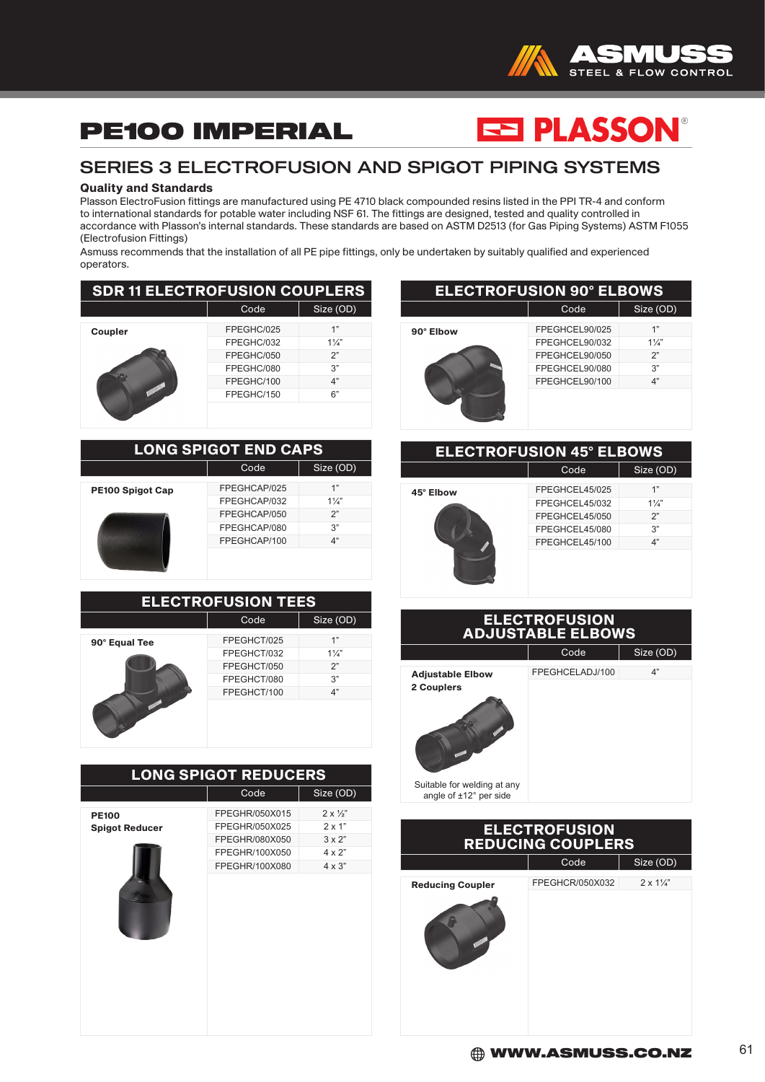

## PE100 IMPERIAL

# ES PLASSON®

### SERIES 3 ELECTROFUSION AND SPIGOT PIPING SYSTEMS

#### Quality and Standards

Plasson ElectroFusion fittings are manufactured using PE 4710 black compounded resins listed in the PPI TR-4 and conform to international standards for potable water including NSF 61. The fittings are designed, tested and quality controlled in accordance with Plasson's internal standards. These standards are based on ASTM D2513 (for Gas Piping Systems) ASTM F1055 (Electrofusion Fittings)

Asmuss recommends that the installation of all PE pipe fittings, only be undertaken by suitably qualified and experienced operators.

| <b>SDR 11 ELECTROFUSION COUPLERS</b> |            |                |
|--------------------------------------|------------|----------------|
|                                      | Code       | Size (OD)      |
| <b>Coupler</b>                       | FPEGHC/025 | 1"             |
|                                      | FPEGHC/032 | $1\frac{1}{4}$ |
|                                      | FPEGHC/050 | 2"             |
|                                      | FPEGHC/080 | 3"             |
|                                      | FPEGHC/100 | 4"             |
|                                      | FPEGHC/150 | 6"             |
|                                      |            |                |

| <b>LONG SPIGOT END CAPS</b> |              |                |  |
|-----------------------------|--------------|----------------|--|
| Code<br>Size (OD)           |              |                |  |
| <b>PE100 Spigot Cap</b>     | FPEGHCAP/025 | 1"             |  |
|                             | FPEGHCAP/032 | $1\frac{1}{4}$ |  |
|                             | FPEGHCAP/050 | 2"             |  |
|                             | FPEGHCAP/080 | 3"             |  |
|                             | FPEGHCAP/100 | 4 <sup>4</sup> |  |
|                             |              |                |  |

| <b>ELECTROFUSION TEES</b> |             |                |
|---------------------------|-------------|----------------|
|                           | Code        | Size (OD)      |
| 90° Equal Tee             | FPEGHCT/025 | 1"             |
|                           | FPEGHCT/032 | $1\frac{1}{4}$ |
|                           | FPEGHCT/050 | 2"             |
|                           | FPEGHCT/080 | 3"             |
|                           | FPEGHCT/100 | 4"             |
|                           |             |                |

|                                       | <b>LONG SPIGOT REDUCERS</b>                                                            |                                                                                             |
|---------------------------------------|----------------------------------------------------------------------------------------|---------------------------------------------------------------------------------------------|
|                                       | Code                                                                                   | Size (OD)                                                                                   |
| <b>PE100</b><br><b>Spigot Reducer</b> | FPEGHR/050X015<br>FPEGHR/050X025<br>FPEGHR/080X050<br>FPEGHR/100X050<br>FPEGHR/100X080 | $2 \times \frac{1}{2}$<br>$2 \times 1"$<br>$3 \times 2$ "<br>$4 \times 2"$<br>$4 \times 3"$ |
|                                       |                                                                                        |                                                                                             |

| <b>ELECTROFUSION 90° ELBOWS</b> |                |                |  |
|---------------------------------|----------------|----------------|--|
|                                 | Code           | Size (OD)      |  |
| 90° Elbow                       | FPEGHCEL90/025 | 1"             |  |
|                                 | FPEGHCEL90/032 | $1\frac{1}{4}$ |  |
|                                 | FPEGHCEL90/050 | 2"             |  |
|                                 | FPEGHCEL90/080 | 3"             |  |
|                                 | FPEGHCEL90/100 | 4"             |  |
|                                 |                |                |  |

| <b>ELECTROFUSION 45° ELBOWS</b> |                                                                                        |                                        |
|---------------------------------|----------------------------------------------------------------------------------------|----------------------------------------|
|                                 | Code                                                                                   | Size (OD)                              |
| 45° Elbow                       | FPEGHCEL45/025<br>FPEGHCEL45/032<br>FPEGHCEL45/050<br>FPEGHCEL45/080<br>FPEGHCEL45/100 | 1"<br>$1\frac{1}{4}$<br>2"<br>3"<br>4" |
| <b>ELECTROFUSION</b>            |                                                                                        |                                        |

| <b>ADJUSTABLE ELBOWS</b>                              |                 |           |
|-------------------------------------------------------|-----------------|-----------|
|                                                       | Code            | Size (OD) |
| <b>Adjustable Elbow</b><br>2 Couplers                 | FPEGHCELADJ/100 | 4"        |
|                                                       |                 |           |
| Suitable for welding at any<br>angle of ±12° per side |                 |           |

| <b>ELECTROFUSION</b><br><b>REDUCING COUPLERS</b> |                 |                         |  |
|--------------------------------------------------|-----------------|-------------------------|--|
|                                                  | Code            | Size (OD)               |  |
| <b>Reducing Coupler</b>                          | FPEGHCR/050X032 | $2 \times 1\frac{1}{4}$ |  |
|                                                  |                 |                         |  |